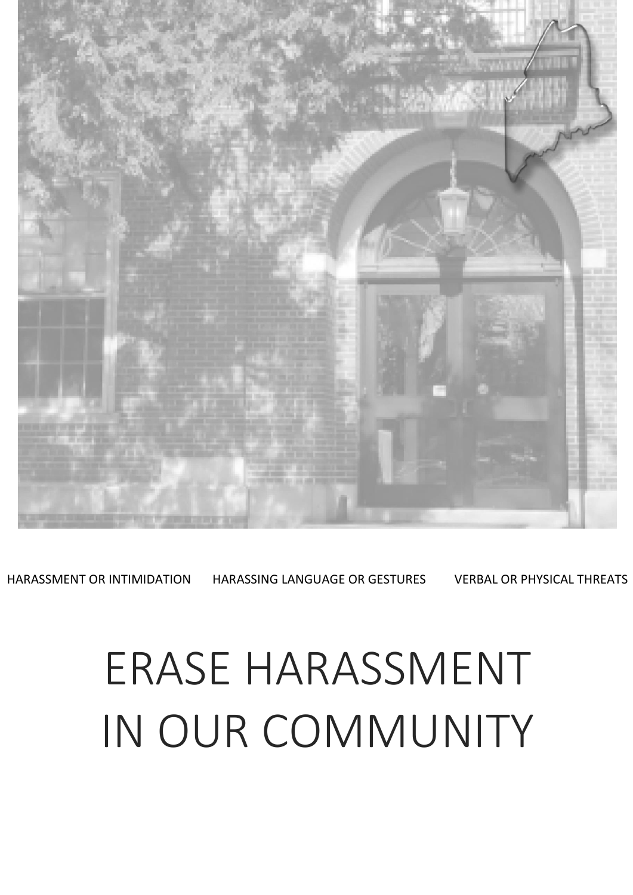

HARASSMENT OR INTIMIDATION HARASSING LANGUAGE OR GESTURES VERBAL OR PHYSICAL THREATS

# ERASE HARASSMENT IN OUR COMMUNITY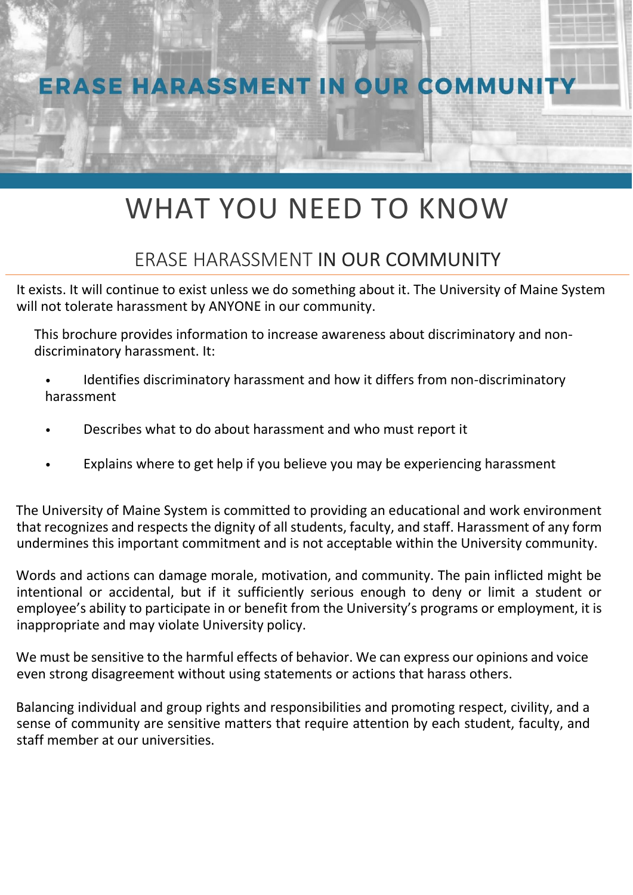

## WHAT YOU NEED TO KNOW

### ERASE HARASSMENT IN OUR COMMUNITY

It exists. It will continue to exist unless we do something about it. The University of Maine System will not tolerate harassment by ANYONE in our community.

This brochure provides information to increase awareness about discriminatory and nondiscriminatory harassment. It:

- Identifies discriminatory harassment and how it differs from non-discriminatory harassment
- Describes what to do about harassment and who must report it
- Explains where to get help if you believe you may be experiencing harassment

The University of Maine System is committed to providing an educational and work environment that recognizes and respects the dignity of all students, faculty, and staff. Harassment of any form undermines this important commitment and is not acceptable within the University community.

Words and actions can damage morale, motivation, and community. The pain inflicted might be intentional or accidental, but if it sufficiently serious enough to deny or limit a student or employee's ability to participate in or benefit from the University's programs or employment, it is inappropriate and may violate University policy.

We must be sensitive to the harmful effects of behavior. We can express our opinions and voice even strong disagreement without using statements or actions that harass others.

Balancing individual and group rights and responsibilities and promoting respect, civility, and a sense of community are sensitive matters that require attention by each student, faculty, and staff member at our universities.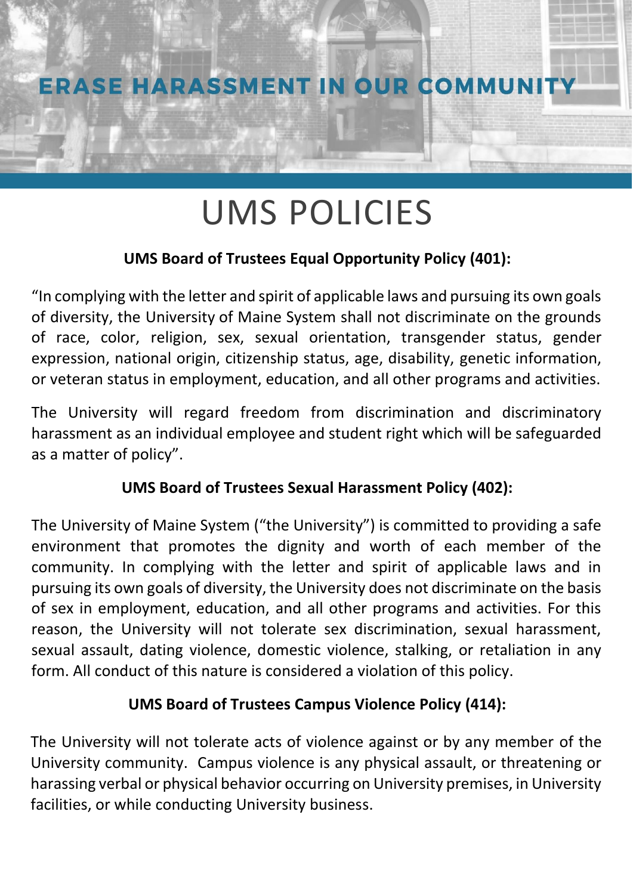

## UMS POLICIES

### **UMS Board of Trustees Equal Opportunity Policy (401):**

"In complying with the letter and spirit of applicable laws and pursuing its own goals of diversity, the University of Maine System shall not discriminate on the grounds of race, color, religion, sex, sexual orientation, transgender status, gender expression, national origin, citizenship status, age, disability, genetic information, or veteran status in employment, education, and all other programs and activities.

The University will regard freedom from discrimination and discriminatory harassment as an individual employee and student right which will be safeguarded as a matter of policy".

### **UMS Board of Trustees Sexual Harassment Policy (402):**

The University of Maine System ("the University") is committed to providing a safe environment that promotes the dignity and worth of each member of the community. In complying with the letter and spirit of applicable laws and in pursuing its own goals of diversity, the University does not discriminate on the basis of sex in employment, education, and all other programs and activities. For this reason, the University will not tolerate sex discrimination, sexual harassment, sexual assault, dating violence, domestic violence, stalking, or retaliation in any form. All conduct of this nature is considered a violation of this policy.

### **UMS Board of Trustees Campus Violence Policy (414):**

The University will not tolerate acts of violence against or by any member of the University community. Campus violence is any physical assault, or threatening or harassing verbal or physical behavior occurring on University premises, in University facilities, or while conducting University business.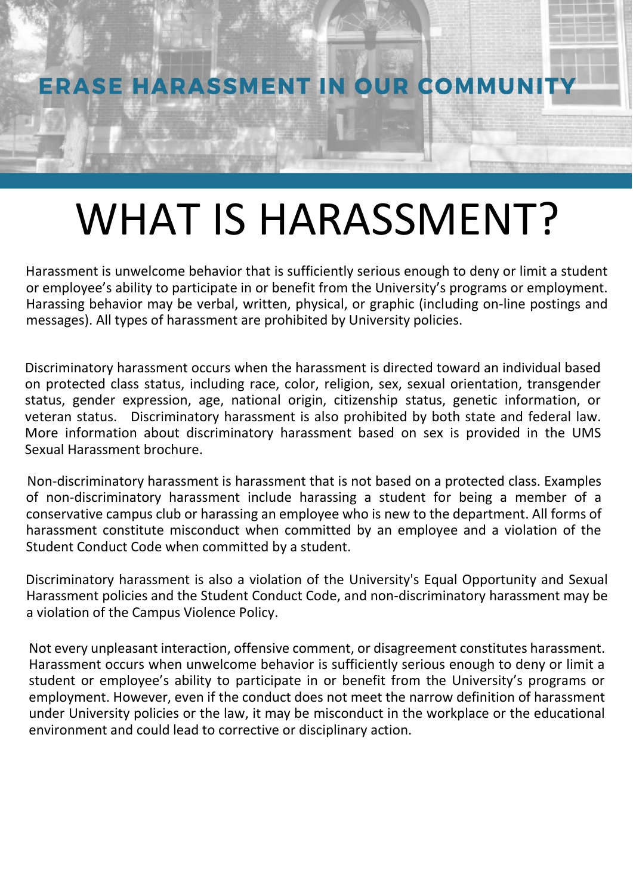**ERASE HARASSMENT IN OUR COMMUNITY** 

## WHAT IS HARASSMENT?

Harassment is unwelcome behavior that is sufficiently serious enough to deny or limit a student or employee's ability to participate in or benefit from the University's programs or employment. Harassing behavior may be verbal, written, physical, or graphic (including on-line postings and messages). All types of harassment are prohibited by University policies.

Discriminatory harassment occurs when the harassment is directed toward an individual based on protected class status, including race, color, religion, sex, sexual orientation, transgender status, gender expression, age, national origin, citizenship status, genetic information, or veteran status. Discriminatory harassment is also prohibited by both state and federal law. More information about discriminatory harassment based on sex is provided in the UMS [Sexual Harassment brochure.](http://staticweb.maine.edu/wp-content/uploads/2019/10/Sexual-harassment-brochure_rev_Oct2019.pdf?0fa197)

Non-discriminatory harassment is harassment that is not based on a protected class. Examples of non-discriminatory harassment include harassing a student for being a member of a conservative campus club or harassing an employee who is new to the department. All forms of harassment constitute misconduct when committed by an employee and a violation of the Student Conduct Code when committed by a student.

Discriminatory harassment is also a violation of the University's Equal Opportunity and Sexual Harassment policies and the Student Conduct Code, and non-discriminatory harassment may be a violation of the Campus Violence Policy.

Not every unpleasant interaction, offensive comment, or disagreement constitutes harassment. Harassment occurs when unwelcome behavior is sufficiently serious enough to deny or limit a student or employee's ability to participate in or benefit from the University's programs or employment. However, even if the conduct does not meet the narrow definition of harassment under University policies or the law, it may be misconduct in the workplace or the educational environment and could lead to corrective or disciplinary action.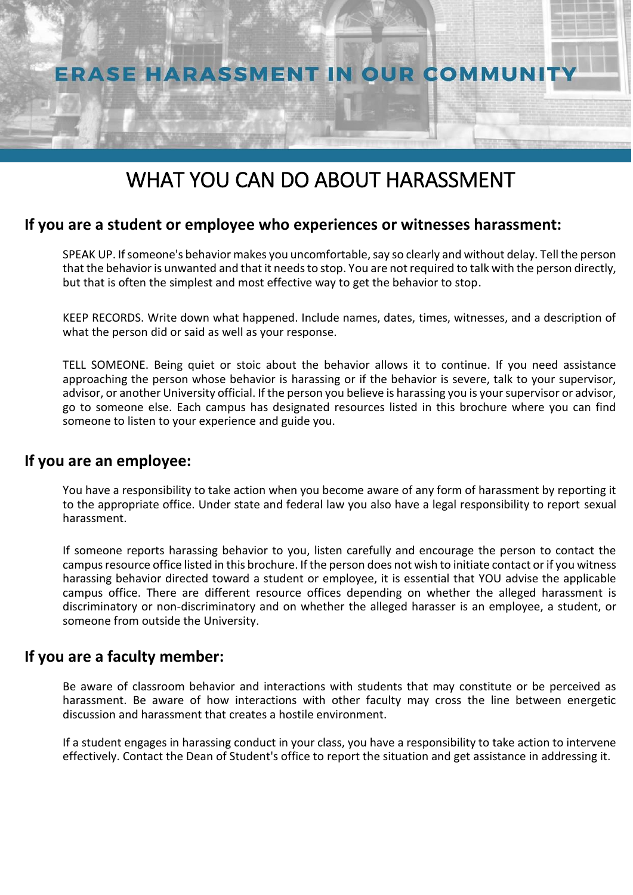

### WHAT YOU CAN DO ABOUT HARASSMENT

### **If you are a student or employee who experiences or witnesses harassment:**

SPEAK UP. If someone's behavior makes you uncomfortable, say so clearly and without delay. Tell the person that the behavior is unwanted and that it needs to stop. You are not required to talk with the person directly, but that is often the simplest and most effective way to get the behavior to stop.

KEEP RECORDS. Write down what happened. Include names, dates, times, witnesses, and a description of what the person did or said as well as your response.

TELL SOMEONE. Being quiet or stoic about the behavior allows it to continue. If you need assistance approaching the person whose behavior is harassing or if the behavior is severe, talk to your supervisor, advisor, or another University official. If the person you believe is harassing you is your supervisor or advisor, go to someone else. Each campus has designated resources listed in this brochure where you can find someone to listen to your experience and guide you.

### **If you are an employee:**

You have a responsibility to take action when you become aware of any form of harassment by reporting it to the appropriate office. Under state and federal law you also have a legal responsibility to report sexual harassment.

If someone reports harassing behavior to you, listen carefully and encourage the person to contact the campus resource office listed in this brochure. If the person does not wish to initiate contact or if you witness harassing behavior directed toward a student or employee, it is essential that YOU advise the applicable campus office. There are different resource offices depending on whether the alleged harassment is discriminatory or non-discriminatory and on whether the alleged harasser is an employee, a student, or someone from outside the University.

### **If you are a faculty member:**

Be aware of classroom behavior and interactions with students that may constitute or be perceived as harassment. Be aware of how interactions with other faculty may cross the line between energetic discussion and harassment that creates a hostile environment.

If a student engages in harassing conduct in your class, you have a responsibility to take action to intervene effectively. Contact the Dean of Student's office to report the situation and get assistance in addressing it.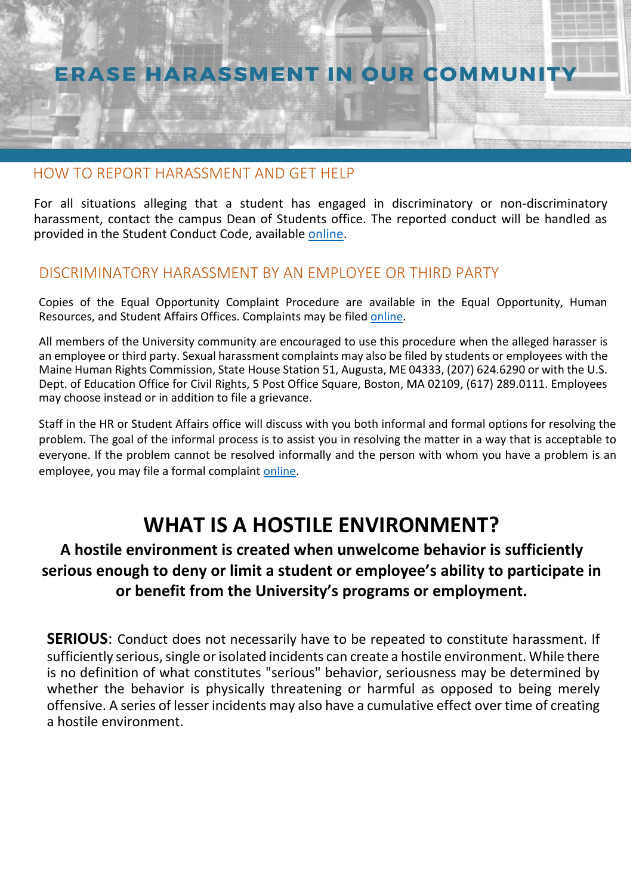### ERASE HARASSMENT IN OUR COMMUNITY

### HOW TO REPORT HARASSMENT AND GET HELP

For all situations alleging that a student has engaged in discriminatory or non-discriminatory harassment, contact the campus Dean of Students office. The reported conduct will be handled as provided in the Student Conduct Code, available [online.](http://www.maine.edu/about-the-system/%20board-of-trustees/policy-manual/section501/)

### DISCRIMINATORY HARASSMENT BY AN EMPLOYEE OR THIRD PARTY

Copies of the Equal Opportunity Complaint Procedure are available in the Equal Opportunity, Human Resources, and Student Affairs Offices. Complaints may be filed [online.](https://cm.maxient.com/reportingform.php?UnivofMaineSystem&layout_id=1)

All members of the University community are encouraged to use this procedure when the alleged harasser is an employee or third party. Sexual harassment complaints may also be filed by students or employees with the Maine Human Rights Commission, State House Station 51, Augusta, ME 04333, (207) 624.6290 or with the U.S. Dept. of Education Office for Civil Rights, 5 Post Office Square, Boston, MA 02109, (617) 289.0111. Employees may choose instead or in addition to file a grievance.

Staff in the HR or Student Affairs office will discuss with you both informal and formal options for resolving the problem. The goal of the informal process is to assist you in resolving the matter in a way that is acceptable to everyone. If the problem cannot be resolved informally and the person with whom you have a problem is an employee, you may file a formal complaint [online.](https://cm.maxient.com/reportingform.php?UnivofMaineSystem&layout_id=1)

### **WHAT IS A HOSTILE ENVIRONMENT?**

### **A hostile environment is created when unwelcome behavior is sufficiently serious enough to deny or limit a student or employee's ability to participate in or benefit from the University's programs or employment.**

**SERIOUS**: Conduct does not necessarily have to be repeated to constitute harassment. If sufficiently serious, single or isolated incidents can create a hostile environment. While there is no definition of what constitutes "serious" behavior, seriousness may be determined by whether the behavior is physically threatening or harmful as opposed to being merely offensive. A series of lesser incidents may also have a cumulative effect over time of creating a hostile environment.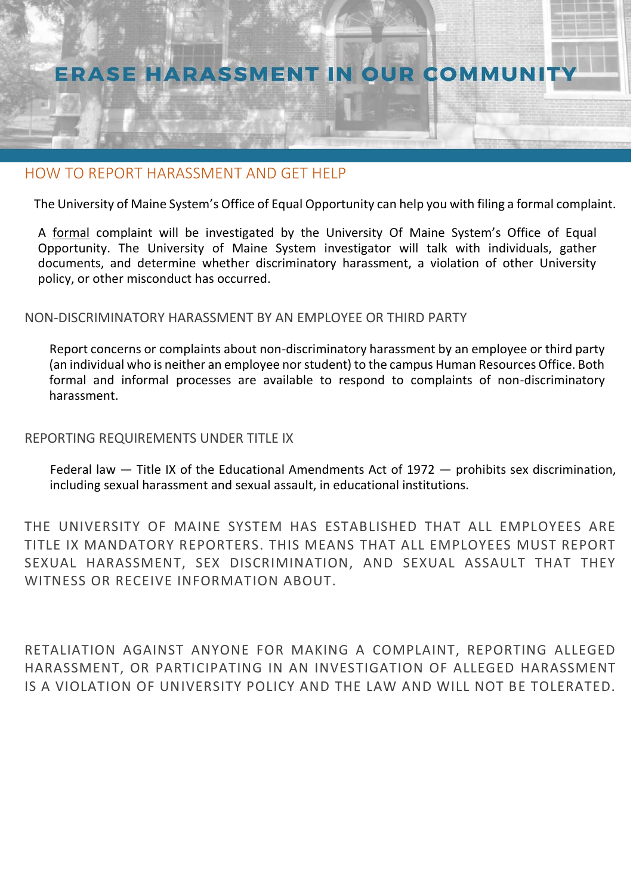

#### HOW TO REPORT HARASSMENT AND GET HELP

The University of Maine System's Office of Equal Opportunity can help you with filing a formal complaint.

A formal complaint will be investigated by the University Of Maine System's Office of Equal Opportunity. The University of Maine System investigator will talk with individuals, gather documents, and determine whether discriminatory harassment, a violation of other University policy, or other misconduct has occurred.

#### NON-DISCRIMINATORY HARASSMENT BY AN EMPLOYEE OR THIRD PARTY

Report concerns or complaints about non-discriminatory harassment by an employee or third party (an individual who is neither an employee nor student) to the campus Human Resources Office. Both formal and informal processes are available to respond to complaints of non-discriminatory harassment.

#### REPORTING REQUIREMENTS UNDER TITLE IX

Federal law — Title IX of the Educational Amendments Act of 1972 — prohibits sex discrimination, including sexual harassment and sexual assault, in educational institutions.

THE UNIVERSITY OF MAINE SYSTEM HAS ESTABLISHED THAT ALL EMPLOYEES ARE TITLE IX MANDATORY REPORTERS. THIS MEANS THAT ALL EMPLOYEES MUST REPORT SEXUAL HARASSMENT, SEX DISCRIMINATION, AND SEXUAL ASSAULT THAT THEY WITNESS OR RECEIVE INFORMATION ABOUT.

RETALIATION AGAINST ANYONE FOR MAKING A COMPLAINT, REPORTING ALLEGED HARASSMENT, OR PARTICIPATING IN AN INVESTIGATION OF ALLEGED HARASSMENT IS A VIOLATION OF UNIVERSITY POLICY AND THE LAW AND WILL NOT BE TOLERATED.